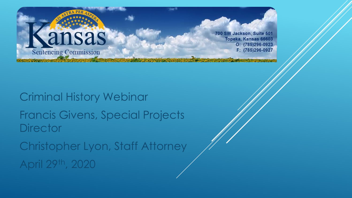

700 SW Jackson, Suite 501 Topeka, Kansas 66603  $O: (785)296-0923$ F: (785)296-0927

Criminal History Webinar Francis Givens, Special Projects **Director** Christopher Lyon, Staff Attorney April 29th, 2020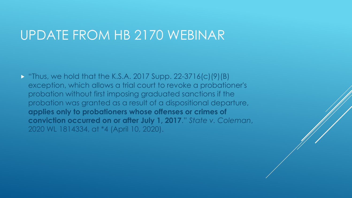#### UPDATE FROM HB 2170 WEBINAR

 $\triangleright$  "Thus, we hold that the K.S.A. 2017 Supp. 22-3716(c)(9)(B) exception, which allows a trial court to revoke a probationer's probation without first imposing graduated sanctions if the probation was granted as a result of a dispositional departure, **applies only to probationers whose offenses or crimes of conviction occurred on or after July 1, 2017**." *State v. Coleman*, 2020 WL 1814334, at \*4 (April 10, 2020).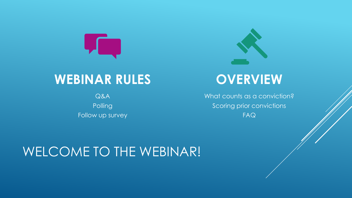

#### **WEBINAR RULES**

Q&A **Polling** Follow up survey



#### **OVERVIEW**

What counts as a conviction? Scoring prior convictions FAQ

### WELCOME TO THE WEBINAR!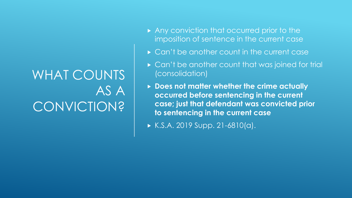### WHAT COUNTS AS A CONVICTION?

- Any conviction that occurred prior to the imposition of sentence in the current case
- ▶ Can't be another count in the current case
- ► Can't be another count that was joined for trial (consolidation)
- **Does not matter whether the crime actually occurred before sentencing in the current case; just that defendant was convicted prior to sentencing in the current case**
- $K.S.A. 2019 Supp. 21-6810(a).$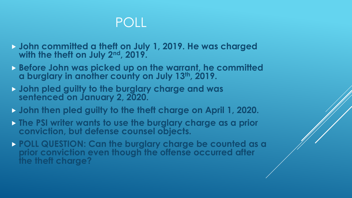### POLL

- **John committed a theft on July 1, 2019. He was charged with the theft on July 2nd, 2019.**
- **Before John was picked up on the warrant, he committed a burglary in another county on July 13th, 2019.**
- **John pled guilty to the burglary charge and was sentenced on January 2, 2020.**
- **John then pled guilty to the theft charge on April 1, 2020.**
- **The PSI writer wants to use the burglary charge as a prior conviction, but defense counsel objects.**
- **POLL QUESTION: Can the burglary charge be counted as a prior conviction even though the offense occurred after the theft charge?**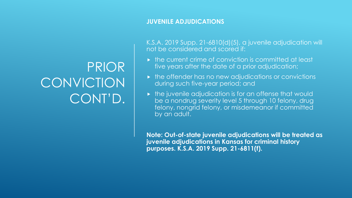#### **JUVENILE ADJUDICATIONS**

K.S.A. 2019 Supp. 21-6810(d)(5), a juvenile adjudication will not be considered and scored if:

- $\triangleright$  the current crime of conviction is committed at least five years after the date of a prior adjudication;
- $\triangleright$  the offender has no new adjudications or convictions during such five-year period; and
- $\triangleright$  the juvenile adjudication is for an offense that would be a nondrug severity level 5 through 10 felony, drug felony, nongrid felony, or misdemeanor if committed by an adult.

**Note: Out-of-state juvenile adjudications will be treated as juvenile adjudications in Kansas for criminal history purposes. K.S.A. 2019 Supp. 21-6811(f).**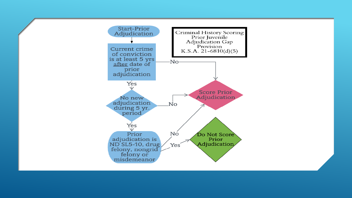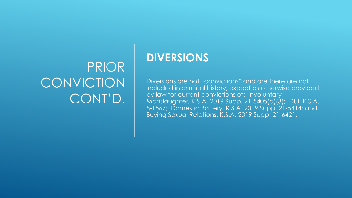#### **DIVERSIONS**

Diversions are not "convictions" and are therefore not included in criminal history, except as otherwise provided by law for current convictions of: Involuntary Manslaughter, K.S.A. 2019 Supp. 21-5405(a)(3); DUI, K.S.A. 8-1567; Domestic Battery, K.S.A. 2019 Supp. 21-5414; and Buying Sexual Relations, K.S.A. 2019 Supp. 21-6421.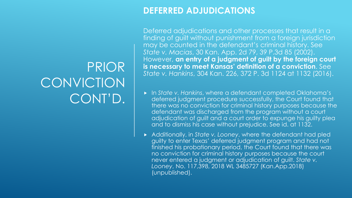#### **DEFERRED ADJUDICATIONS**

Deferred adjudications and other processes that result in a finding of guilt without punishment from a foreign jurisdiction may be counted in the defendant's criminal history. See *State v. Macias*, 30 Kan. App. 2d 79, 39 P.3d 85 (2002). However, **an entry of a judgment of guilt by the foreign court is necessary to meet Kansas' definition of a conviction**. See *State v. Hankins*, 304 Kan. 226, 372 P. 3d 1124 at 1132 (2016).

- In *State v. Hankins*, where a defendant completed Oklahoma's deferred judgment procedure successfully, the Court found that there was no conviction for criminal history purposes because the defendant was discharged from the program without a court adjudication of guilt and a court order to expunge his guilty plea and to dismiss his case without prejudice. See id. at 1132.
- Additionally, in *State v. Looney*, where the defendant had pled guilty to enter Texas' deferred judgment program and had not finished his probationary period, the Court found that there was no conviction for criminal history purposes because the court never entered a judgment or adjudication of guilt. *State v. Looney*, No. 117,398, 2018 WL 3485727 (Kan.App.2018) (unpublished).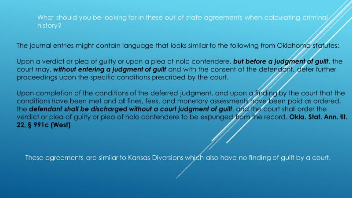What should you be looking for in these out-of-state agreements when calculating criminal history?

The journal entries might contain language that looks similar to the following from Oklahoma statutes:

Upon a verdict or plea of guilty or upon a plea of nolo contendere, but before a judgment of guilt, the court may, without entering a judgment of guilt and with the consent of the defendant, defer further proceedings upon the specific conditions prescribed by the court.

Upon completion of the conditions of the deferred judgment, and upon a finding by the court that the conditions have been met and all fines, fees, and monetary assessments have been paid as ordered, the defendant shall be discharged without a court judgment of guilt, and the court shall order the verdict or plea of guilty or plea of nolo contendere to be expunged from the record. Okla. Stat. Ann. tit. 22, § 991c (West)

These agreements are similar to Kansas Diversions which also have no finding of guilt by a court.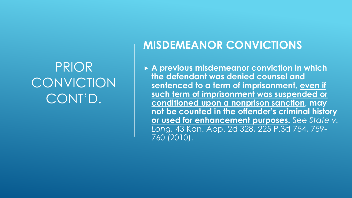#### **MISDEMEANOR CONVICTIONS**

 **A previous misdemeanor conviction in which the defendant was denied counsel and sentenced to a term of imprisonment, even if such term of imprisonment was suspended or conditioned upon a nonprison sanction, may not be counted in the offender's criminal history or used for enhancement purposes.** See *State v. Long,* 43 Kan. App. 2d 328, 225 P.3d 754, 759- 760 (2010).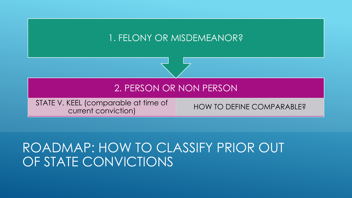#### 1. FELONY OR MISDEMEANOR?



STATE V. KEEL (comparable at time of ELL (Comparable at finite of the HOW TO DEFINE COMPARABLE?

#### ROADMAP: HOW TO CLASSIFY PRIOR OUT OF STATE CONVICTIONS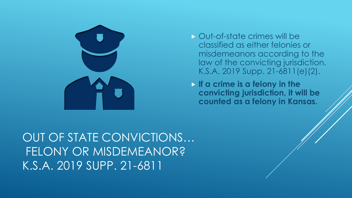

- Out-of-state crimes will be classified as either felonies or misdemeanors according to the law of the convicting jurisdiction. K.S.A. 2019 Supp. 21-6811(e)(2).
- **If a crime is a felony in the convicting jurisdiction, it will be counted as a felony in Kansas.**

OUT OF STATE CONVICTIONS… FELONY OR MISDEMEANOR? K.S.A. 2019 SUPP. 21-6811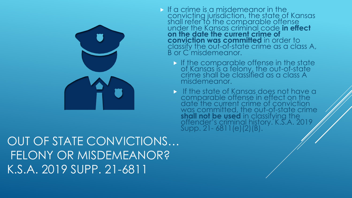

- If a crime is a misdemeanor in the convicting jurisdiction, the state of Kansas shall refer to the comparable offense under the Kansas criminal code **in effect on the date the current crime of conviction was committed** in order to classify the out-of-state crime as a class A, B or C misdemeanor.
	- If the comparable offense in the state of Kansas is a felony, the out-of-state crime shall be classified as a class A misdemeanor.
	- If the state of Kansas does not have a comparable offense in effect on the date the current crime of conviction was committed, the out-of-state crime **shall not be used** in classifying the offender's criminal history. K.S.A. 2019 Supp. 21- 6811(e)(2)(B).

OUT OF STATE CONVICTIONS… FELONY OR MISDEMEANOR? K.S.A. 2019 SUPP. 21-6811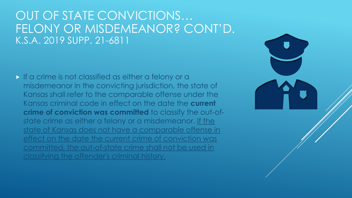#### OUT OF STATE CONVICTIONS… FELONY OR MISDEMEANOR? CONT'D. K.S.A. 2019 SUPP. 21-6811

If a crime is not classified as either a felony or a misdemeanor in the convicting jurisdiction, the state of Kansas shall refer to the comparable offense under the Kansas criminal code in effect on the date the **current crime of conviction was committed** to classify the out-ofstate crime as either a felony or a misdemeanor. If the state of Kansas does not have a comparable offense in effect on the date the current crime of conviction was committed, the out-of-state crime shall not be used in classifying the offender's criminal history.

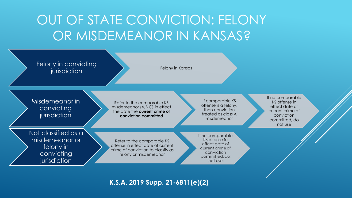### OUT OF STATE CONVICTION: FELONY OR MISDEMEANOR IN KANSAS?



**K.S.A. 2019 Supp. 21-6811(e)(2)**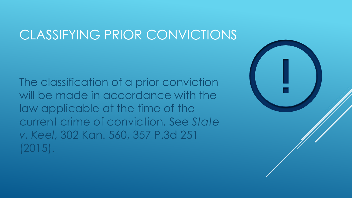### CLASSIFYING PRIOR CONVICTIONS

The classification of a prior conviction will be made in accordance with the law applicable at the time of the current crime of conviction. See *State v. Keel*, 302 Kan. 560, 357 P.3d 251 (2015).

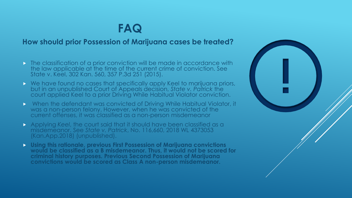#### **FAQ**

#### **How should prior Possession of Marijuana cases be treated?**

- **The classification of a prior conviction will be made in accordance with** the law applicable at the time of the current crime of conviction. See State v. Keel, 302 Kan. 560, 357 P.3d 251 (2015).
- ▶ We have found no cases that specifically apply Keel to marijuana priors, but in an unpublished Court of Appeals decision, *State v. Patrick* the court applied Keel to a prior Driving While Habitual Violator conviction.
- When the defendant was convicted of Driving While Habitual Violator, it was a non-person felony. However, when he was convicted of the current offenses, it was classified as a non-person misdemeanor
- Applying *Keel*, the court said that it should have been classified as a misdemeanor. See *State v. Patrick*, No. 116,660, 2018 WL 4373053 (Kan.App.2018) (unpublished).
- **Using this rationale, previous First Possession of Marijuana convictions would be classified as a B misdemeanor. Thus, it would not be scored for criminal history purposes. Previous Second Possession of Marijuana convictions would be scored as Class A non-person misdemeanor.**

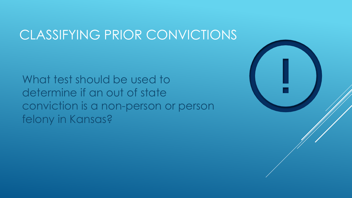#### CLASSIFYING PRIOR CONVICTIONS

What test should be used to determine if an out of state conviction is a non-person or person felony in Kansas?

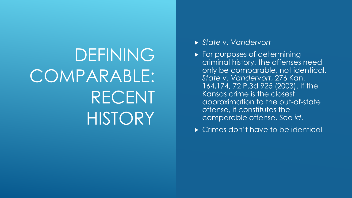## DEFINING COMPARABLE: RECENT **HISTORY**

- *State v. Vandervort*
- **For purposes of determining** criminal history, the offenses need only be comparable, not identical. *State v. Vandervort*, 276 Kan. 164,174, 72 P.3d 925 (2003). If the Kansas crime is the closest approximation to the out-of-state offense, it constitutes the comparable offense. See *id*.
- ► Crimes don't have to be identical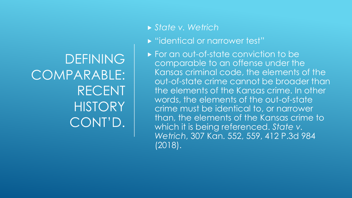**DEFINING** COMPARABLE: RECENT **HISTORY** CONT'D.

#### *State v. Wetrich*

- **Dentical or narrower test"**
- ► For an out-of-state conviction to be comparable to an offense under the Kansas criminal code, the elements of the out-of-state crime cannot be broader than the elements of the Kansas crime. In other words, the elements of the out-of-state crime must be identical to, or narrower than, the elements of the Kansas crime to which it is being referenced. *State v. Wetrich*, 307 Kan. 552, 559, 412 P.3d 984 (2018).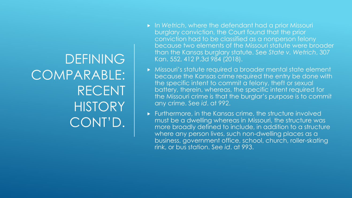DEFINING COMPARABLE: RECENT **HISTORY** CONT'D.

- In *Wetrich*, where the defendant had a prior Missouri burglary conviction, the Court found that the prior conviction had to be classified as a nonperson felony because two elements of the Missouri statute were broader than the Kansas burglary statute. See *State v. Wetrich*, 307 Kan. 552, 412 P.3d 984 (2018).
- Missouri's statute required a broader mental state element because the Kansas crime required the entry be done with the specific intent to commit a felony, theft or sexual battery, therein, whereas, the specific intent required for the Missouri crime is that the burglar's purpose is to commit any crime. See *id*. at 992.
- Furthermore, in the Kansas crime, the structure involved must be a dwelling whereas in Missouri, the structure was more broadly defined to include, in addition to a structure where any person lives, such non-dwelling places as a business, government office, school, church, roller-skating rink, or bus station. See *id*. at 993.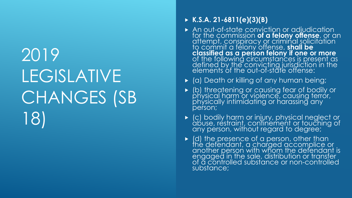## 2019 LEGISLATIVE CHANGES (SB 18)

#### **K.S.A. 21-6811(e)(3)(B)**

- An out-of-state conviction or adjudication for the commission **of a felony offense**, or an attempt, conspiracy or criminal solicitation to commit a felony offense, **shall be classified as a person felony if one or more** of the following circumstances is present as defined by the convicting jurisdiction in the elements of the out-of-state offense:
- (a) Death or killing of any human being;
- (b) threatening or causing fear of bodily or physical harm or violence, causing terror, physically intimidating or harassing any person;
- (c) bodily harm or injury, physical neglect or abuse, restraint, confinement or touching of any person, without regard to degree;
- $\blacktriangleright$  (d) the presence of a person, other than the defendant, a charged accomplice or another person with whom the defendant is engaged in the sale, distribution or transfer of a controlled substance or non-controlled substance;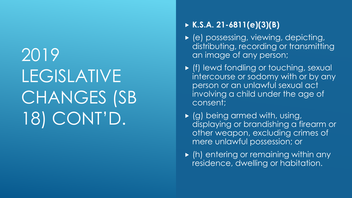## 2019 LEGISLATIVE CHANGES (SB 18) CONT'D.

#### **K.S.A. 21-6811(e)(3)(B)**

- ▶ (e) possessing, viewing, depicting, distributing, recording or transmitting an image of any person;
- (f) lewd fondling or touching, sexual intercourse or sodomy with or by any person or an unlawful sexual act involving a child under the age of consent;
- $\triangleright$  (g) being armed with, using, displaying or brandishing a firearm or other weapon, excluding crimes of mere unlawful possession; or
- $\blacktriangleright$  (h) entering or remaining within any residence, dwelling or habitation.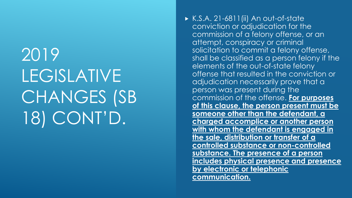2019 LEGISLATIVE CHANGES (SB 18) CONT'D.

 $\triangleright$  K.S.A. 21-6811(ii) An out-of-state conviction or adjudication for the commission of a felony offense, or an attempt, conspiracy or criminal solicitation to commit a felony offense, shall be classified as a person felony if the elements of the out-of-state felony offense that resulted in the conviction or adjudication necessarily prove that a person was present during the commission of the offense. **For purposes of this clause, the person present must be someone other than the defendant, a charged accomplice or another person with whom the defendant is engaged in the sale, distribution or transfer of a controlled substance or non-controlled substance. The presence of a person includes physical presence and presence by electronic or telephonic communication.**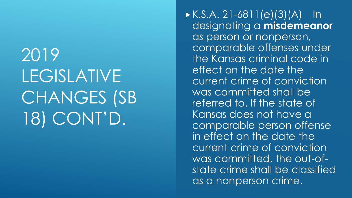2019 LEGISLATIVE CHANGES (SB 18) CONT'D.

 $K.S.A. 21-6811(e)(3)(A)$  In designating a **misdemeanor** as person or nonperson, comparable offenses under the Kansas criminal code in effect on the date the current crime of conviction was committed shall be referred to. If the state of Kansas does not have a comparable person offense in effect on the date the current crime of conviction was committed, the out-ofstate crime shall be classified as a nonperson crime.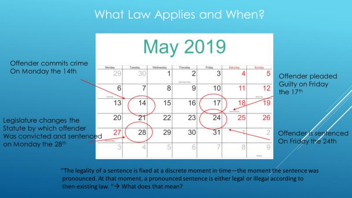### What Law Applies and When?



"The legality of a sentence is fixed at a discrete moment in time-the moment the sentence was pronounced. At that moment, a pronounced sentence is either legal or illegal according to then-existing law. " $\rightarrow$  What does that mean?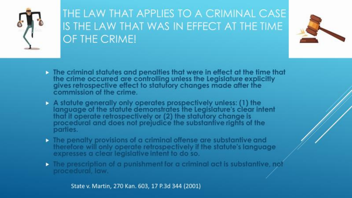

#### THE LAW THAT APPLIES TO A CRIMINAL CASE IS THE LAW THAT WAS IN EFFECT AT THE TIME OF THE CRIME!



- The criminal statutes and penalties that were in effect at the time that the crime occurred are controlling unless the Legislature explicitly gives retrospective effect to statutory changes made after the commission of the crime.
- A statute generally only operates prospectively unless: (1) the<br>language of the statute demonstrates the Legislature's clear intent that it operate retrospectively or (2) the statutory change is<br>procedural and does not prejudice the substantive rights of the parties.
- $\triangleright$  The penalty provisions of a criminal offense are substantive and therefore will only operate retrospectively if the statute's language expresses a clear legislative intent to do so.
- $\triangleright$  The prescription of a punishment for a criminal act is substantive, not procedural, law.

State v. Martin, 270 Kan. 603, 17 P.3d 344 (2001)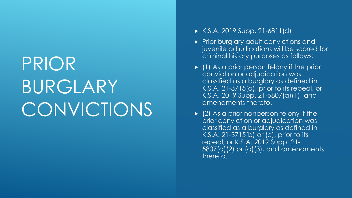## PRIOR BURGLARY CONVICTIONS

- $K.S.A. 2019 Supp. 21-6811(d)$
- Prior burglary adult convictions and juvenile adjudications will be scored for criminal history purposes as follows:
- $\blacktriangleright$  (1) As a prior person felony if the prior conviction or adjudication was classified as a burglary as defined in K.S.A. 21-3715(a), prior to its repeal, or K.S.A. 2019 Supp. 21-5807(a)(1), and amendments thereto.
- $\triangleright$  (2) As a prior nonperson felony if the prior conviction or adjudication was classified as a burglary as defined in K.S.A. 21-3715(b) or (c), prior to its repeal, or K.S.A. 2019 Supp. 21- 5807(a)(2) or (a)(3), and amendments thereto.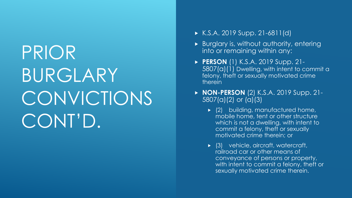## PRIOR BURGLARY CONVICTIONS CONT'D.

- $K.S.A. 2019 Supp. 21-6811(d)$
- Burglary is, without authority, entering into or remaining within any:
- **PERSON** (1) K.S.A. 2019 Supp. 21- 5807(a)(1) Dwelling, with intent to commit a felony, theft or sexually motivated crime therein
- **NON-PERSON** (2) K.S.A. 2019 Supp. 21- 5807(a)(2) or (a)(3)
	- ▶ (2) building, manufactured home, mobile home, tent or other structure which is not a dwelling, with intent to commit a felony, theft or sexually motivated crime therein; or
	- (3) vehicle, aircraft, watercraft, railroad car or other means of conveyance of persons or property, with intent to commit a felony, theft or sexually motivated crime therein.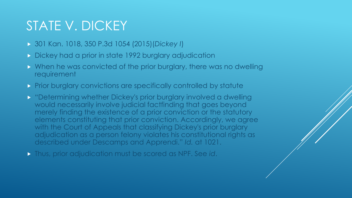### STATE V. DICKEY

- 301 Kan. 1018, 350 P.3d 1054 (2015)(*Dickey I*)
- Dickey had a prior in state 1992 burglary adjudication
- When he was convicted of the prior burglary, there was no dwelling requirement
- Prior burglary convictions are specifically controlled by statute
- **> "Determining whether Dickey's prior burglary involved a dwelling** would necessarily involve judicial factfinding that goes beyond merely finding the existence of a prior conviction or the statutory elements constituting that prior conviction. Accordingly, we agree with the Court of Appeals that classifying Dickey's prior burglary adjudication as a person felony violates his constitutional rights as described under Descamps and Apprendi." *Id.* at 1021.
- Thus, prior adjudication must be scored as NPF. See *id*.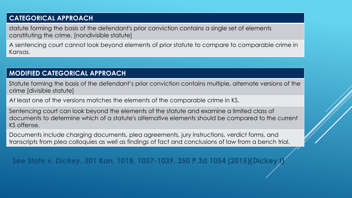#### **CATEGORICAL APPROACH**

statute forming the basis of the defendant's prior conviction contains a single set of elements constituting the crime. [nondivisible statute]

A sentencing court cannot look beyond elements of prior statute to compare to comparable crime in Kansas.

#### **MODIFIED CATEGORICAL APPROACH**

Statute forming the basis of the defendant's prior conviction contains multiple, alternate versions of the crime [divisible statute]

At least one of the versions matches the elements of the comparable crime in KS.

Sentencing court can look beyond the elements of the statute and examine a limited class of documents to determine which of a statute's alternative elements should be compared to the current KS offense.

Documents include charging documents, plea agreements, jury instructions, verdict forms, and transcripts from plea colloquies as well as findings of fact and conclusions of law from a bench trial.

**See** *State v. Dickey***, 301 Kan. 1018, 1037-1039, 350 P.3d 1054 (2015)(Dickey I)**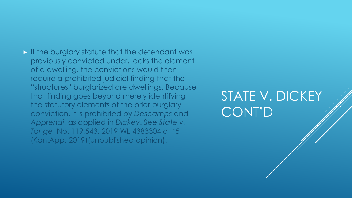#### **If the burglary statute that the defendant was** previously convicted under, lacks the element of a dwelling, the convictions would then require a prohibited judicial finding that the "structures" burglarized are dwellings. Because that finding goes beyond merely identifying the statutory elements of the prior burglary conviction, it is prohibited by *Descamps* and *Apprendi*, as applied in *Dickey*. See *State v. Tonge*, No. 119,543, 2019 WL 4383304 at \*5 (Kan.App. 2019)(unpublished opinion).

STATE V. DICKEY CONT'D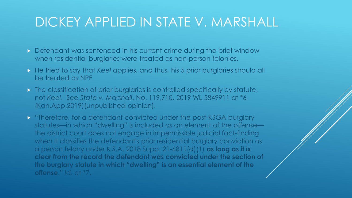### DICKEY APPLIED IN STATE V. MARSHALL

- Defendant was sentenced in his current crime during the brief window when residential burglaries were treated as non-person felonies.
- He tried to say that *Keel* applies, and thus, his 5 prior burglaries should all be treated as NPF
- **The classification of prior burglaries is controlled specifically by statute,** not *Keel*. See *State v. Marshall*, No. 119,710, 2019 WL 5849911 at \*6 (Kan.App.2019)(unpublished opinion).
- **THEREF** Therefore, for a defendant convicted under the post-KSGA burglary statutes—in which "dwelling" is included as an element of the offense the district court does not engage in impermissible judicial fact-finding when it classifies the defendant's prior residential burglary conviction as a person felony under K.S.A. 2018 Supp. 21-6811(d)(1) **as long as it is clear from the record the defendant was convicted under the section of the burglary statute in which "dwelling" is an essential element of the offense**." *Id*. at \*7.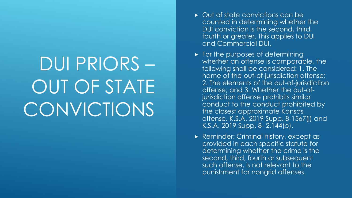# DUI PRIORS – OUT OF STATE CONVICTIONS

- ▶ Out of state convictions can be counted in determining whether the DUI conviction is the second, third, fourth or greater. This applies to DUI and Commercial DUI.
- For the purposes of determining whether an offense is comparable, the following shall be considered: 1. The name of the out-of-jurisdiction offense; 2. The elements of the out-of-jurisdiction offense; and 3. Whether the out-ofjurisdiction offense prohibits similar conduct to the conduct prohibited by the closest approximate Kansas offense. K.S.A. 2019 Supp. 8-1567(j) and K.S.A. 2019 Supp. 8- 2,144(o).
- ▶ Reminder: Criminal history, except as provided in each specific statute for determining whether the crime is the second, third, fourth or subsequent such offense, is not relevant to the punishment for nongrid offenses.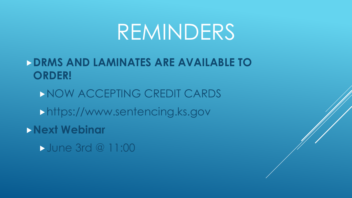## REMINDERS

#### **DRMS AND LAMINATES ARE AVAILABLE TO ORDER!**

NOW ACCEPTING CREDIT CARDS https://www.sentencing.ks.gov **Next Webinar June 3rd @ 11:00**